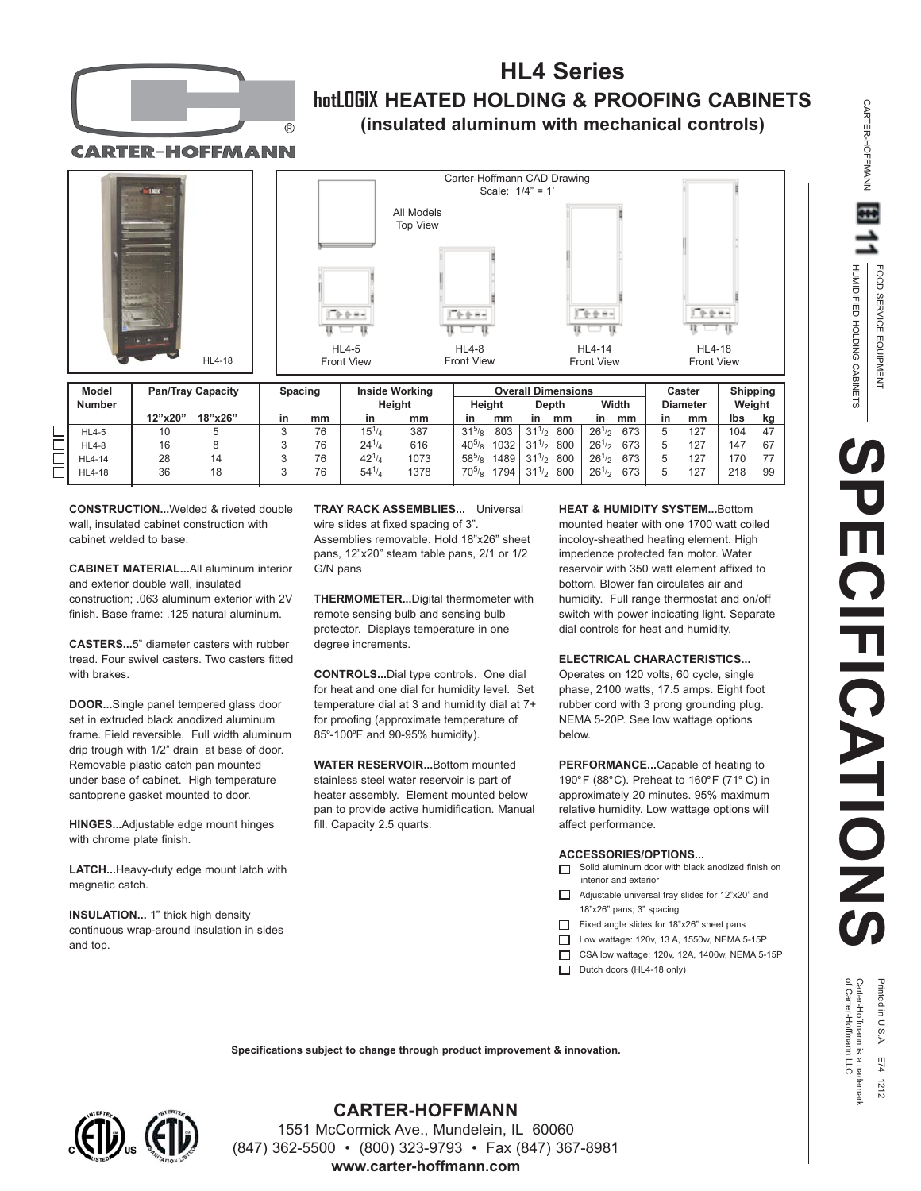

## **HL4 Series hotLOGIX HEATED HOLDING & PROOFING CABINETS (insulated aluminum with mechanical controls)**

**CARTER-HOFFMANN** 





| <b>Model</b><br><b>Number</b> | <b>Pan/Tray Capacity</b> |         | <b>Spacing</b> |    | <b>Inside Working</b><br>Height |      | <b>Overall Dimensions</b><br>Heiaht<br>Depth |      |                        | Width      |     | Caster<br><b>Diameter</b> |     | <b>Shipping</b><br>Weight |    |
|-------------------------------|--------------------------|---------|----------------|----|---------------------------------|------|----------------------------------------------|------|------------------------|------------|-----|---------------------------|-----|---------------------------|----|
|                               | 12"x20"                  | 18"x26" | in             | mm | in                              | mm   | in                                           | mm   | mm<br>in               | in         | mm  | in                        | mm  | lbs                       | kq |
| $HL4-5$                       | 10                       | 5       |                | 76 | $15^{1/4}$                      | 387  | $31^{5}/8$                                   | 803  | 800<br>$31^{1/2}$      | $26^{1/2}$ | 673 |                           | 127 | 104                       | 47 |
| <b>HL4-8</b>                  | 16                       |         |                | 76 | $24^{1/4}$                      | 616  | $40^{5}/\text{s}$                            | 1032 | 800<br>$31^{1/2}$      | $26^{1/2}$ | 673 |                           | 127 | 147                       | 67 |
| HL4-14                        | 28                       | 14      |                | 76 | $42^{1/4}$                      | 1073 | $58^{5}/8$                                   | 1489 | 800<br>$31\frac{1}{2}$ | $261$ /2   | 673 |                           | 127 | 170                       |    |
| <b>HL4-18</b>                 | 36                       | 18      |                | 76 | $54^{1/4}$                      | 1378 | $70^{5}/\text{s}$                            | 1794 | 800<br>$31^{1/2}$      | $26^{1/2}$ | 673 |                           | 127 | 218                       | 99 |

**CONSTRUCTION...**Welded & riveted double wall, insulated cabinet construction with cabinet welded to base.

**CABINET MATERIAL...**All aluminum interior and exterior double wall, insulated construction; .063 aluminum exterior with 2V finish. Base frame: .125 natural aluminum.

**CASTERS...**5" diameter casters with rubber tread. Four swivel casters. Two casters fitted with brakes.

**DOOR...**Single panel tempered glass door set in extruded black anodized aluminum frame. Field reversible. Full width aluminum drip trough with 1/2" drain at base of door. Removable plastic catch pan mounted under base of cabinet. High temperature santoprene gasket mounted to door.

**HINGES...**Adjustable edge mount hinges with chrome plate finish.

**LATCH...**Heavy-duty edge mount latch with magnetic catch.

**INSULATION...** 1" thick high density continuous wrap-around insulation in sides and top.

**TRAY RACK ASSEMBLIES...** Universal wire slides at fixed spacing of 3". Assemblies removable. Hold 18"x26" sheet pans, 12"x20" steam table pans, 2/1 or 1/2 G/N pans

**THERMOMETER...**Digital thermometer with remote sensing bulb and sensing bulb protector. Displays temperature in one degree increments.

**CONTROLS...**Dial type controls. One dial for heat and one dial for humidity level. Set temperature dial at 3 and humidity dial at 7+ for proofing (approximate temperature of 85°-100°F and 90-95% humidity).

**WATER RESERVOIR...**Bottom mounted stainless steel water reservoir is part of heater assembly. Element mounted below pan to provide active humidification. Manual fill. Capacity 2.5 quarts.

**HEAT & HUMIDITY SYSTEM...**Bottom mounted heater with one 1700 watt coiled incoloy-sheathed heating element. High impedence protected fan motor. Water reservoir with 350 watt element affixed to bottom. Blower fan circulates air and humidity. Full range thermostat and on/off switch with power indicating light. Separate dial controls for heat and humidity.

## **ELECTRICAL CHARACTERISTICS...**

Operates on 120 volts, 60 cycle, single phase, 2100 watts, 17.5 amps. Eight foot rubber cord with 3 prong grounding plug. NEMA 5-20P. See low wattage options below.

**PERFORMANCE...**Capable of heating to 190°F (88°C). Preheat to 160°F (71°C) in approximately 20 minutes. 95% maximum relative humidity. Low wattage options will affect performance.

## **ACCESSORIES/OPTIONS...**

- Solid aluminum door with black anodized finish on interior and exterior
- Adjustable universal tray slides for 12"x20" and 18"x26" pans; 3" spacing
- Fixed angle slides for 18"x26" sheet pans
- □ Low wattage: 120v, 13 A, 1550w, NEMA 5-15P
- CSA low wattage: 120v, 12A, 1400w, NEMA 5-15P
- Dutch doors (HL4-18 only)

Printed in U.S.A. E74 1212<br>Carter-Hoffmann is a trademark<br>of Carter-Hoffmann LLC

**SPECIFICATIONS**

**ECIFICATIONS** 

HUMIDIFIED HOLDING CABINETS FOOD SERVICE EQUIPMENT

HUMIDIFIED HOLDING CABINETS FOOD SERVICE EQUIPMENT

CARTER-HOFFMANN

CARTER-HOFFMANN

**Specifications subject to change through product improvement & innovation.**



**CARTER-HOFFMANN**

1551 McCormick Ave., Mundelein, IL 60060 (847) 362-5500 • (800) 323-9793 • Fax (847) 367-8981 **www.carter-hoffmann.com**